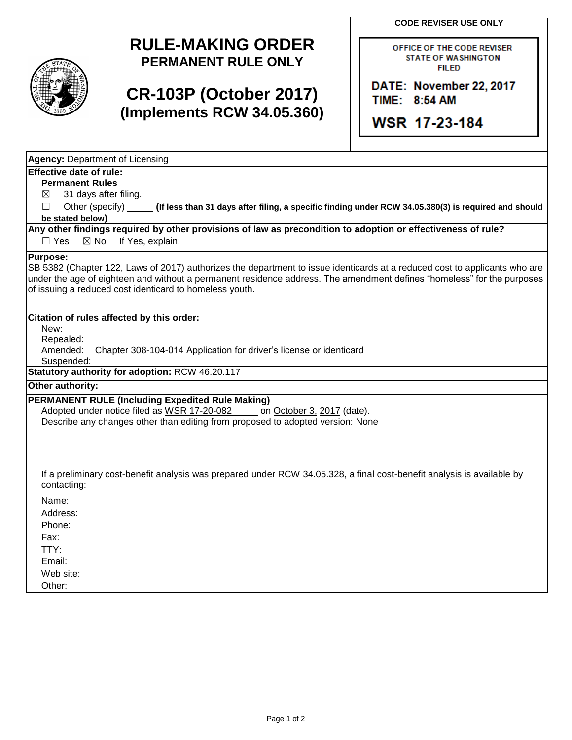**CODE REVISER USE ONLY**

## **RULE-MAKING ORDER PERMANENT RULE ONLY**

## **CR-103P (October 2017) (Implements RCW 34.05.360)**

OFFICE OF THE CODE REVISER **STATE OF WASHINGTON FILED** 

DATE: November 22, 2017 TIME: 8:54 AM

**WSR 17-23-184** 

| <b>Agency: Department of Licensing</b>                                                                                                                                                                                                                                                                                             |
|------------------------------------------------------------------------------------------------------------------------------------------------------------------------------------------------------------------------------------------------------------------------------------------------------------------------------------|
| <b>Effective date of rule:</b><br><b>Permanent Rules</b><br>31 days after filing.<br>$\bowtie$<br>Other (specify)<br>П<br>(If less than 31 days after filing, a specific finding under RCW 34.05.380(3) is required and should<br>be stated below)                                                                                 |
| Any other findings required by other provisions of law as precondition to adoption or effectiveness of rule?<br>$\Box$ Yes<br>$\boxtimes$ No<br>If Yes, explain:                                                                                                                                                                   |
| <b>Purpose:</b><br>SB 5382 (Chapter 122, Laws of 2017) authorizes the department to issue identicards at a reduced cost to applicants who are<br>under the age of eighteen and without a permanent residence address. The amendment defines "homeless" for the purposes<br>of issuing a reduced cost identicard to homeless youth. |
| Citation of rules affected by this order:<br>New:<br>Repealed:<br>Amended:<br>Chapter 308-104-014 Application for driver's license or identicard<br>Suspended:                                                                                                                                                                     |
| Statutory authority for adoption: RCW 46.20.117                                                                                                                                                                                                                                                                                    |
| Other authority:                                                                                                                                                                                                                                                                                                                   |
| PERMANENT RULE (Including Expedited Rule Making)<br>Adopted under notice filed as WSR 17-20-082<br>on October 3, 2017 (date).<br>Describe any changes other than editing from proposed to adopted version: None                                                                                                                    |
| If a preliminary cost-benefit analysis was prepared under RCW 34.05.328, a final cost-benefit analysis is available by<br>contacting:                                                                                                                                                                                              |
| Name:<br>Address:<br>Phone:<br>Fax:<br>TTY:<br>Email:<br>Web site:<br>Other:                                                                                                                                                                                                                                                       |